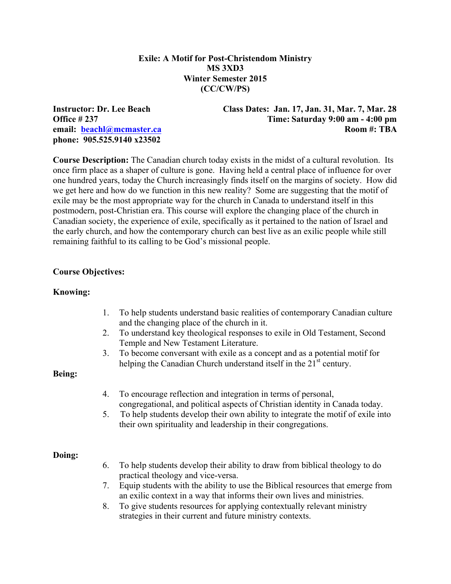## **Exile: A Motif for Post-Christendom Ministry MS 3XD3 Winter Semester 2015 (CC/CW/PS)**

**phone: 905.525.9140 x23502** 

**Instructor: Dr. Lee Beach Class Dates: Jan. 17, Jan. 31, Mar. 7, Mar. 28 Office # 237 Time: Saturday 9:00 am - 4:00 pm email:** beachl@mcmaster.ca **Room #: TBA** 

**Course Description:** The Canadian church today exists in the midst of a cultural revolution. Its once firm place as a shaper of culture is gone. Having held a central place of influence for over one hundred years, today the Church increasingly finds itself on the margins of society. How did we get here and how do we function in this new reality? Some are suggesting that the motif of exile may be the most appropriate way for the church in Canada to understand itself in this postmodern, post-Christian era. This course will explore the changing place of the church in Canadian society, the experience of exile, specifically as it pertained to the nation of Israel and the early church, and how the contemporary church can best live as an exilic people while still remaining faithful to its calling to be God's missional people.

#### **Course Objectives:**

#### **Knowing:**

- 1. To help students understand basic realities of contemporary Canadian culture and the changing place of the church in it.
- 2. To understand key theological responses to exile in Old Testament, Second Temple and New Testament Literature.
- 3. To become conversant with exile as a concept and as a potential motif for helping the Canadian Church understand itself in the  $21<sup>st</sup>$  century.

#### **Being:**

- 4. To encourage reflection and integration in terms of personal, congregational, and political aspects of Christian identity in Canada today.
- 5. To help students develop their own ability to integrate the motif of exile into their own spirituality and leadership in their congregations.

#### **Doing:**

- 6. To help students develop their ability to draw from biblical theology to do practical theology and vice-versa.
- 7. Equip students with the ability to use the Biblical resources that emerge from an exilic context in a way that informs their own lives and ministries.
- 8. To give students resources for applying contextually relevant ministry strategies in their current and future ministry contexts.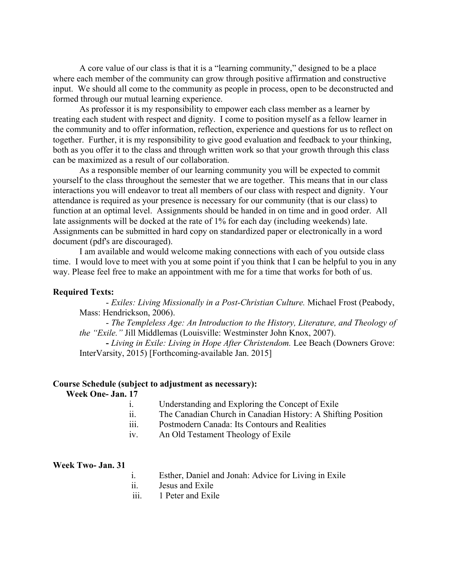A core value of our class is that it is a "learning community," designed to be a place where each member of the community can grow through positive affirmation and constructive input. We should all come to the community as people in process, open to be deconstructed and formed through our mutual learning experience.

As professor it is my responsibility to empower each class member as a learner by treating each student with respect and dignity. I come to position myself as a fellow learner in the community and to offer information, reflection, experience and questions for us to reflect on together. Further, it is my responsibility to give good evaluation and feedback to your thinking, both as you offer it to the class and through written work so that your growth through this class can be maximized as a result of our collaboration.

As a responsible member of our learning community you will be expected to commit yourself to the class throughout the semester that we are together. This means that in our class interactions you will endeavor to treat all members of our class with respect and dignity. Your attendance is required as your presence is necessary for our community (that is our class) to function at an optimal level. Assignments should be handed in on time and in good order. All late assignments will be docked at the rate of 1% for each day (including weekends) late. Assignments can be submitted in hard copy on standardized paper or electronically in a word document (pdf's are discouraged).

I am available and would welcome making connections with each of you outside class time. I would love to meet with you at some point if you think that I can be helpful to you in any way. Please feel free to make an appointment with me for a time that works for both of us.

#### **Required Texts:**

- *Exiles: Living Missionally in a Post-Christian Culture.* Michael Frost (Peabody, Mass: Hendrickson, 2006).

- *The Templeless Age: An Introduction to the History, Literature, and Theology of the "Exile."* Jill Middlemas (Louisville: Westminster John Knox, 2007).

**-** *Living in Exile: Living in Hope After Christendom.* Lee Beach (Downers Grove: InterVarsity, 2015) [Forthcoming-available Jan. 2015]

#### **Course Schedule (subject to adjustment as necessary):**

**Week One- Jan. 17**

- i. Understanding and Exploring the Concept of Exile
- ii. The Canadian Church in Canadian History: A Shifting Position
- iii. Postmodern Canada: Its Contours and Realities
- iv. An Old Testament Theology of Exile

#### **Week Two- Jan. 31**

- i. Esther, Daniel and Jonah: Advice for Living in Exile
- ii. Jesus and Exile
- iii. 1 Peter and Exile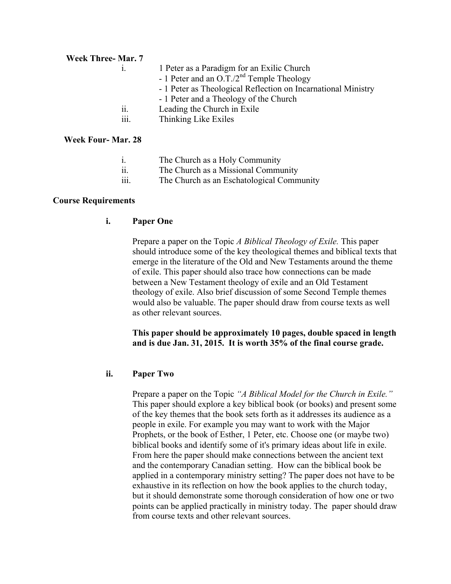## **Week Three- Mar. 7**

- i. 1 Peter as a Paradigm for an Exilic Church
	- 1 Peter and an  $\overline{O.T.}/2^{nd}$  Temple Theology
	- 1 Peter as Theological Reflection on Incarnational Ministry
	- 1 Peter and a Theology of the Church
- ii. Leading the Church in Exile
- iii. Thinking Like Exiles

# **Week Four- Mar. 28**

- i. The Church as a Holy Community
- ii. The Church as a Missional Community
- iii. The Church as an Eschatological Community

## **Course Requirements**

# **i. Paper One**

Prepare a paper on the Topic *A Biblical Theology of Exile.* This paper should introduce some of the key theological themes and biblical texts that emerge in the literature of the Old and New Testaments around the theme of exile. This paper should also trace how connections can be made between a New Testament theology of exile and an Old Testament theology of exile. Also brief discussion of some Second Temple themes would also be valuable. The paper should draw from course texts as well as other relevant sources.

## **This paper should be approximately 10 pages, double spaced in length and is due Jan. 31, 2015. It is worth 35% of the final course grade.**

# **ii. Paper Two**

Prepare a paper on the Topic *"A Biblical Model for the Church in Exile."*  This paper should explore a key biblical book (or books) and present some of the key themes that the book sets forth as it addresses its audience as a people in exile. For example you may want to work with the Major Prophets, or the book of Esther, 1 Peter, etc. Choose one (or maybe two) biblical books and identify some of it's primary ideas about life in exile. From here the paper should make connections between the ancient text and the contemporary Canadian setting. How can the biblical book be applied in a contemporary ministry setting? The paper does not have to be exhaustive in its reflection on how the book applies to the church today, but it should demonstrate some thorough consideration of how one or two points can be applied practically in ministry today. The paper should draw from course texts and other relevant sources.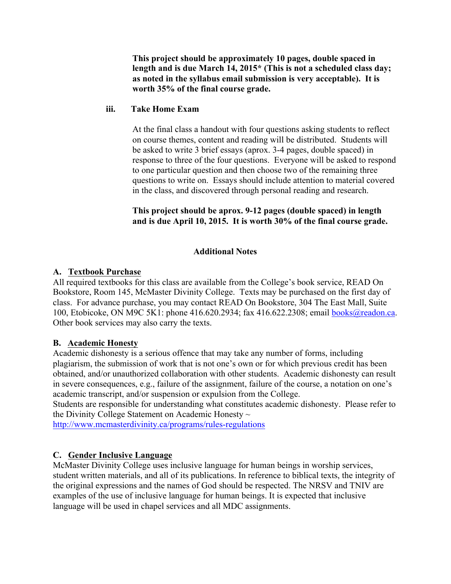**This project should be approximately 10 pages, double spaced in length and is due March 14, 2015\* (This is not a scheduled class day; as noted in the syllabus email submission is very acceptable). It is worth 35% of the final course grade.** 

## **iii. Take Home Exam**

At the final class a handout with four questions asking students to reflect on course themes, content and reading will be distributed. Students will be asked to write 3 brief essays (aprox. 3-4 pages, double spaced) in response to three of the four questions. Everyone will be asked to respond to one particular question and then choose two of the remaining three questions to write on. Essays should include attention to material covered in the class, and discovered through personal reading and research.

## **This project should be aprox. 9-12 pages (double spaced) in length and is due April 10, 2015. It is worth 30% of the final course grade.**

# **Additional Notes**

# **A. Textbook Purchase**

All required textbooks for this class are available from the College's book service, READ On Bookstore, Room 145, McMaster Divinity College. Texts may be purchased on the first day of class. For advance purchase, you may contact READ On Bookstore, 304 The East Mall, Suite 100, Etobicoke, ON M9C 5K1: phone 416.620.2934; fax 416.622.2308; email books@readon.ca. Other book services may also carry the texts.

# **B. Academic Honesty**

Academic dishonesty is a serious offence that may take any number of forms, including plagiarism, the submission of work that is not one's own or for which previous credit has been obtained, and/or unauthorized collaboration with other students. Academic dishonesty can result in severe consequences, e.g., failure of the assignment, failure of the course, a notation on one's academic transcript, and/or suspension or expulsion from the College.

Students are responsible for understanding what constitutes academic dishonesty. Please refer to the Divinity College Statement on Academic Honesty  $\sim$ 

http://www.mcmasterdivinity.ca/programs/rules-regulations

# **C. Gender Inclusive Language**

McMaster Divinity College uses inclusive language for human beings in worship services, student written materials, and all of its publications. In reference to biblical texts, the integrity of the original expressions and the names of God should be respected. The NRSV and TNIV are examples of the use of inclusive language for human beings. It is expected that inclusive language will be used in chapel services and all MDC assignments.